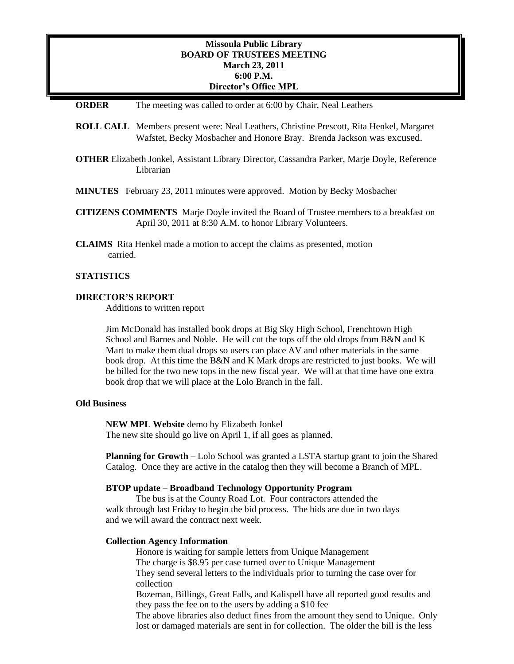# **Missoula Public Library BOARD OF TRUSTEES MEETING March 23, 2011 6:00 P.M. Director's Office MPL**

## **ORDER** The meeting was called to order at 6:00 by Chair, Neal Leathers

- **ROLL CALL** Members present were: Neal Leathers, Christine Prescott, Rita Henkel, Margaret Wafstet, Becky Mosbacher and Honore Bray. Brenda Jackson was excused.
- **OTHER** Elizabeth Jonkel, Assistant Library Director, Cassandra Parker, Marje Doyle, Reference Librarian
- **MINUTES** February 23, 2011 minutes were approved. Motion by Becky Mosbacher
- **CITIZENS COMMENTS** Marje Doyle invited the Board of Trustee members to a breakfast on April 30, 2011 at 8:30 A.M. to honor Library Volunteers.
- **CLAIMS** Rita Henkel made a motion to accept the claims as presented, motion carried.

# **STATISTICS**

## **DIRECTOR'S REPORT**

Additions to written report

Jim McDonald has installed book drops at Big Sky High School, Frenchtown High School and Barnes and Noble. He will cut the tops off the old drops from B&N and K Mart to make them dual drops so users can place AV and other materials in the same book drop. At this time the B&N and K Mark drops are restricted to just books. We will be billed for the two new tops in the new fiscal year. We will at that time have one extra book drop that we will place at the Lolo Branch in the fall.

# **Old Business**

**NEW MPL Website** demo by Elizabeth Jonkel The new site should go live on April 1, if all goes as planned.

**Planning for Growth –** Lolo School was granted a LSTA startup grant to join the Shared Catalog. Once they are active in the catalog then they will become a Branch of MPL.

# **BTOP update – Broadband Technology Opportunity Program**

The bus is at the County Road Lot. Four contractors attended the walk through last Friday to begin the bid process. The bids are due in two days and we will award the contract next week.

## **Collection Agency Information**

Honore is waiting for sample letters from Unique Management

The charge is \$8.95 per case turned over to Unique Management

They send several letters to the individuals prior to turning the case over for collection

Bozeman, Billings, Great Falls, and Kalispell have all reported good results and they pass the fee on to the users by adding a \$10 fee

The above libraries also deduct fines from the amount they send to Unique. Only lost or damaged materials are sent in for collection. The older the bill is the less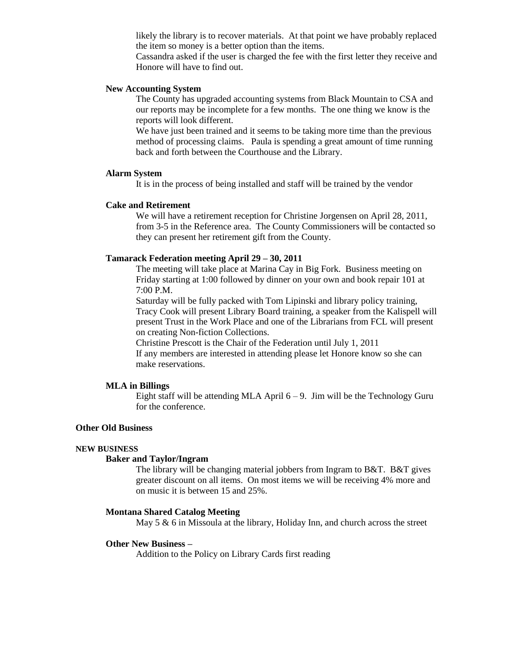likely the library is to recover materials. At that point we have probably replaced the item so money is a better option than the items.

Cassandra asked if the user is charged the fee with the first letter they receive and Honore will have to find out.

# **New Accounting System**

The County has upgraded accounting systems from Black Mountain to CSA and our reports may be incomplete for a few months. The one thing we know is the reports will look different.

We have just been trained and it seems to be taking more time than the previous method of processing claims. Paula is spending a great amount of time running back and forth between the Courthouse and the Library.

#### **Alarm System**

It is in the process of being installed and staff will be trained by the vendor

# **Cake and Retirement**

We will have a retirement reception for Christine Jorgensen on April 28, 2011, from 3-5 in the Reference area. The County Commissioners will be contacted so they can present her retirement gift from the County.

# **Tamarack Federation meeting April 29 – 30, 2011**

The meeting will take place at Marina Cay in Big Fork. Business meeting on Friday starting at 1:00 followed by dinner on your own and book repair 101 at 7:00 P.M.

Saturday will be fully packed with Tom Lipinski and library policy training, Tracy Cook will present Library Board training, a speaker from the Kalispell will present Trust in the Work Place and one of the Librarians from FCL will present on creating Non-fiction Collections.

Christine Prescott is the Chair of the Federation until July 1, 2011

If any members are interested in attending please let Honore know so she can make reservations.

# **MLA in Billings**

Eight staff will be attending MLA April  $6 - 9$ . Jim will be the Technology Guru for the conference.

# **Other Old Business**

## **NEW BUSINESS**

# **Baker and Taylor/Ingram**

The library will be changing material jobbers from Ingram to B&T. B&T gives greater discount on all items. On most items we will be receiving 4% more and on music it is between 15 and 25%.

# **Montana Shared Catalog Meeting**

May 5 & 6 in Missoula at the library, Holiday Inn, and church across the street

## **Other New Business –**

Addition to the Policy on Library Cards first reading